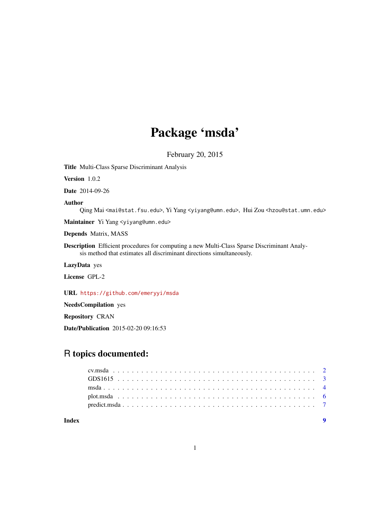## Package 'msda'

February 20, 2015

Title Multi-Class Sparse Discriminant Analysis

Version 1.0.2

Date 2014-09-26

#### Author

Qing Mai <mai@stat.fsu.edu>, Yi Yang <yiyang@umn.edu>, Hui Zou <hzou@stat.umn.edu>

Maintainer Yi Yang <yiyang@umn.edu>

Depends Matrix, MASS

Description Efficient procedures for computing a new Multi-Class Sparse Discriminant Analysis method that estimates all discriminant directions simultaneously.

LazyData yes

License GPL-2

URL <https://github.com/emeryyi/msda>

NeedsCompilation yes

Repository CRAN

Date/Publication 2015-02-20 09:16:53

### R topics documented:

| Index |  |  |  |  |  |  |  |  |  |  |  |  |  |  |  |  |  |  |
|-------|--|--|--|--|--|--|--|--|--|--|--|--|--|--|--|--|--|--|
|       |  |  |  |  |  |  |  |  |  |  |  |  |  |  |  |  |  |  |
|       |  |  |  |  |  |  |  |  |  |  |  |  |  |  |  |  |  |  |
|       |  |  |  |  |  |  |  |  |  |  |  |  |  |  |  |  |  |  |
|       |  |  |  |  |  |  |  |  |  |  |  |  |  |  |  |  |  |  |
|       |  |  |  |  |  |  |  |  |  |  |  |  |  |  |  |  |  |  |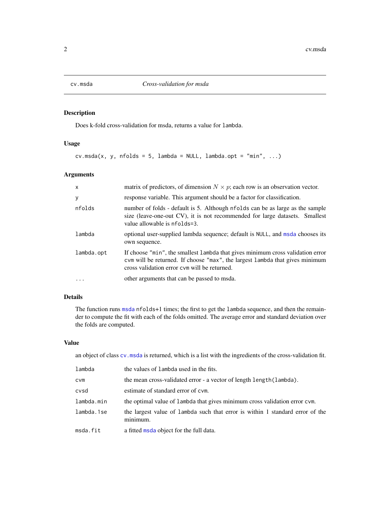<span id="page-1-1"></span><span id="page-1-0"></span>

#### Description

Does k-fold cross-validation for msda, returns a value for lambda.

#### Usage

 $cv.msda(x, y, nfollowi>15, lambda = NULL, lambda,opt = "min", ...)$ 

#### Arguments

| $\mathsf{x}$ | matrix of predictors, of dimension $N \times p$ ; each row is an observation vector.                                                                                                                           |
|--------------|----------------------------------------------------------------------------------------------------------------------------------------------------------------------------------------------------------------|
| y            | response variable. This argument should be a factor for classification.                                                                                                                                        |
| nfolds       | number of folds - default is 5. Although nfolds can be as large as the sample<br>size (leave-one-out CV), it is not recommended for large datasets. Smallest<br>value allowable is nfolds=3.                   |
| lambda       | optional user-supplied lambda sequence; default is NULL, and msda chooses its<br>own sequence.                                                                                                                 |
| lambda.opt   | If choose "min", the smallest lambda that gives minimum cross validation error<br>com will be returned. If choose "max", the largest lambda that gives minimum<br>cross validation error cym will be returned. |
| $\ddots$ .   | other arguments that can be passed to msda.                                                                                                                                                                    |

#### Details

The function runs [msda](#page-3-1) nfolds+1 times; the first to get the lambda sequence, and then the remainder to compute the fit with each of the folds omitted. The average error and standard deviation over the folds are computed.

#### Value

an object of class [cv.msda](#page-1-1) is returned, which is a list with the ingredients of the cross-validation fit.

| lambda     | the values of lambda used in the fits.                                                    |
|------------|-------------------------------------------------------------------------------------------|
| <b>CVM</b> | the mean cross-validated error - a vector of length length (lambda).                      |
| cvsd       | estimate of standard error of cym.                                                        |
| lambda.min | the optimal value of lambda that gives minimum cross validation error cvm.                |
| lambda.1se | the largest value of lambda such that error is within 1 standard error of the<br>minimum. |
| msda.fit   | a fitted msda object for the full data.                                                   |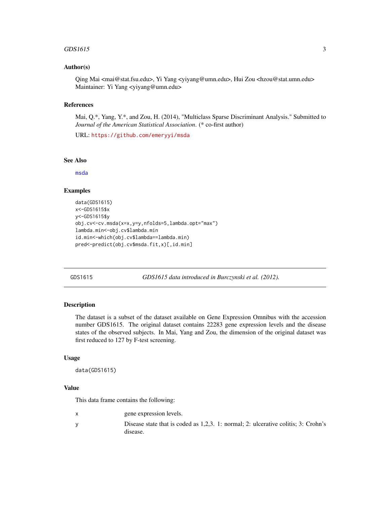#### <span id="page-2-0"></span> $GDS1615$  3

#### Author(s)

Qing Mai <mai@stat.fsu.edu>, Yi Yang <yiyang@umn.edu>, Hui Zou <hzou@stat.umn.edu> Maintainer: Yi Yang <yiyang@umn.edu>

#### References

Mai, Q.\*, Yang, Y.\*, and Zou, H. (2014), "Multiclass Sparse Discriminant Analysis." Submitted to *Journal of the American Statistical Association*. (\* co-first author)

URL: <https://github.com/emeryyi/msda>

#### See Also

[msda](#page-3-1)

#### Examples

```
data(GDS1615)
x<-GDS1615$x
y<-GDS1615$y
obj.cv<-cv.msda(x=x,y=y,nfolds=5,lambda.opt="max")
lambda.min<-obj.cv$lambda.min
id.min<-which(obj.cv$lambda==lambda.min)
pred<-predict(obj.cv$msda.fit,x)[,id.min]
```
GDS1615 *GDS1615 data introduced in Burczynski et al. (2012).*

#### Description

The dataset is a subset of the dataset available on Gene Expression Omnibus with the accession number GDS1615. The original dataset contains 22283 gene expression levels and the disease states of the observed subjects. In Mai, Yang and Zou, the dimension of the original dataset was first reduced to 127 by F-test screening.

#### Usage

data(GDS1615)

#### Value

This data frame contains the following:

| gene expression levels.                                                                        |
|------------------------------------------------------------------------------------------------|
| Disease state that is coded as 1,2,3. 1: normal; 2: ulcerative colitis; 3: Crohn's<br>disease. |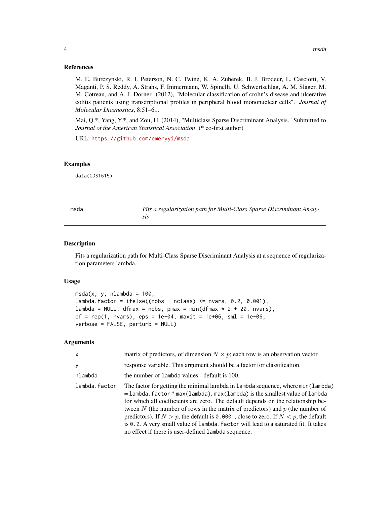<span id="page-3-0"></span>M. E. Burczynski, R. L Peterson, N. C. Twine, K. A. Zuberek, B. J. Brodeur, L. Casciotti, V. Maganti, P. S. Reddy, A. Strahs, F. Immermann, W. Spinelli, U. Schwertschlag, A. M. Slager, M. M. Cotreau, and A. J. Dorner. (2012), "Molecular classification of crohn's disease and ulcerative colitis patients using transcriptional profiles in peripheral blood mononuclear cells". *Journal of Molecular Diagnostics*, 8:51–61.

Mai, Q.\*, Yang, Y.\*, and Zou, H. (2014), "Multiclass Sparse Discriminant Analysis." Submitted to *Journal of the American Statistical Association*. (\* co-first author)

URL: <https://github.com/emeryyi/msda>

#### Examples

data(GDS1615)

<span id="page-3-1"></span>

| msda | Fits a regularization path for Multi-Class Sparse Discriminant Analy- |
|------|-----------------------------------------------------------------------|
|      |                                                                       |

#### Description

Fits a regularization path for Multi-Class Sparse Discriminant Analysis at a sequence of regularization parameters lambda.

#### Usage

```
msda(x, y, nlambda = 100,lambda-factor = ifelse((nobs - nclass) \leq nvars, 0.2, 0.001),lambda = NULL, dfmax = nobs, pmax = min(dfmax * 2 + 20, nvars),
pf = rep(1, nvars), eps = 1e-04, maxit = 1e+06, sml = 1e-06,verbose = FALSE, perturb = NULL)
```
#### Arguments

| $\mathsf{x}$  | matrix of predictors, of dimension $N \times p$ ; each row is an observation vector.                                                                                                                                                                                                                                                                                                                                                                                                                                                                                                  |
|---------------|---------------------------------------------------------------------------------------------------------------------------------------------------------------------------------------------------------------------------------------------------------------------------------------------------------------------------------------------------------------------------------------------------------------------------------------------------------------------------------------------------------------------------------------------------------------------------------------|
| y             | response variable. This argument should be a factor for classification.                                                                                                                                                                                                                                                                                                                                                                                                                                                                                                               |
| nlambda       | the number of lambda values - default is 100.                                                                                                                                                                                                                                                                                                                                                                                                                                                                                                                                         |
| lambda.factor | The factor for getting the minimal lambda in lambda sequence, where min(lambda)<br>$=$ lambda. factor $*$ max (lambda). max (lambda) is the smallest value of lambda<br>for which all coefficients are zero. The default depends on the relationship be-<br>tween N (the number of rows in the matrix of predictors) and $p$ (the number of<br>predictors). If $N > p$ , the default is 0.0001, close to zero. If $N < p$ , the default<br>is 0.2. A very small value of lambda. factor will lead to a saturated fit. It takes<br>no effect if there is user-defined lambda sequence. |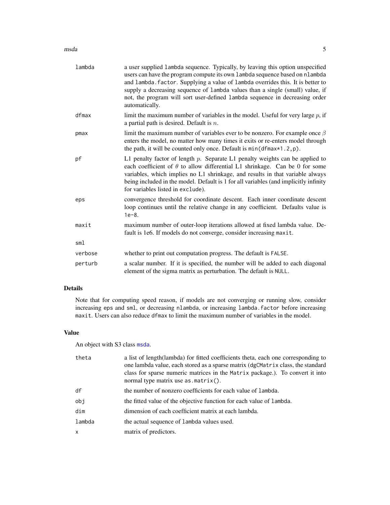#### <span id="page-4-0"></span>msda **5**

| lambda  | a user supplied lambda sequence. Typically, by leaving this option unspecified<br>users can have the program compute its own lambda sequence based on nlambda<br>and lambda. factor. Supplying a value of lambda overrides this. It is better to<br>supply a decreasing sequence of lambda values than a single (small) value, if<br>not, the program will sort user-defined lambda sequence in decreasing order<br>automatically. |
|---------|------------------------------------------------------------------------------------------------------------------------------------------------------------------------------------------------------------------------------------------------------------------------------------------------------------------------------------------------------------------------------------------------------------------------------------|
| dfmax   | limit the maximum number of variables in the model. Useful for very large $p$ , if<br>a partial path is desired. Default is $n$ .                                                                                                                                                                                                                                                                                                  |
| pmax    | limit the maximum number of variables ever to be nonzero. For example once $\beta$<br>enters the model, no matter how many times it exits or re-enters model through<br>the path, it will be counted only once. Default is $min(dfmax*1.2, p)$ .                                                                                                                                                                                   |
| pf      | L1 penalty factor of length $p$ . Separate L1 penalty weights can be applied to<br>each coefficient of $\theta$ to allow differential L1 shrinkage. Can be 0 for some<br>variables, which implies no L1 shrinkage, and results in that variable always<br>being included in the model. Default is 1 for all variables (and implicitly infinity<br>for variables listed in exclude).                                                |
| eps     | convergence threshold for coordinate descent. Each inner coordinate descent<br>loop continues until the relative change in any coefficient. Defaults value is<br>$1e-8.$                                                                                                                                                                                                                                                           |
| maxit   | maximum number of outer-loop iterations allowed at fixed lambda value. De-<br>fault is 1e6. If models do not converge, consider increasing maxit.                                                                                                                                                                                                                                                                                  |
| sml     |                                                                                                                                                                                                                                                                                                                                                                                                                                    |
| verbose | whether to print out computation progress. The default is FALSE.                                                                                                                                                                                                                                                                                                                                                                   |
| perturb | a scalar number. If it is specified, the number will be added to each diagonal<br>element of the sigma matrix as perturbation. The default is NULL.                                                                                                                                                                                                                                                                                |

#### Details

Note that for computing speed reason, if models are not converging or running slow, consider increasing eps and sml, or decreasing nlambda, or increasing lambda.factor before increasing maxit. Users can also reduce dfmax to limit the maximum number of variables in the model.

#### Value

An object with S3 class [msda](#page-3-1).

| theta        | a list of length (lambda) for fitted coefficients theta, each one corresponding to<br>one lambda value, each stored as a sparse matrix (dgCMatrix class, the standard<br>class for sparse numeric matrices in the Matrix package.). To convert it into<br>normal type matrix use $as.matrix()$ . |
|--------------|--------------------------------------------------------------------------------------------------------------------------------------------------------------------------------------------------------------------------------------------------------------------------------------------------|
| df           | the number of nonzero coefficients for each value of lambda.                                                                                                                                                                                                                                     |
| obj          | the fitted value of the objective function for each value of lambda.                                                                                                                                                                                                                             |
| dim          | dimension of each coefficient matrix at each lambda.                                                                                                                                                                                                                                             |
| lambda       | the actual sequence of lambda values used.                                                                                                                                                                                                                                                       |
| $\mathsf{x}$ | matrix of predictors.                                                                                                                                                                                                                                                                            |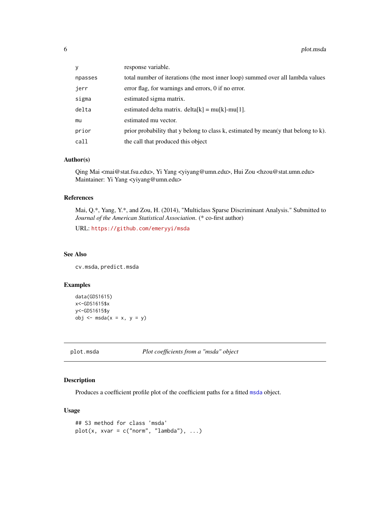<span id="page-5-0"></span>

| V       | response variable.                                                                 |
|---------|------------------------------------------------------------------------------------|
| npasses | total number of iterations (the most inner loop) summed over all lambda values     |
| jerr    | error flag, for warnings and errors, 0 if no error.                                |
| sigma   | estimated sigma matrix.                                                            |
| delta   | estimated delta matrix. delta[k] = $mu[k]$ -mu[1].                                 |
| mu      | estimated mu vector.                                                               |
| prior   | prior probability that y belong to class k, estimated by mean(y that belong to k). |
| call    | the call that produced this object                                                 |

#### Author(s)

Qing Mai <mai@stat.fsu.edu>, Yi Yang <yiyang@umn.edu>, Hui Zou <hzou@stat.umn.edu> Maintainer: Yi Yang <yiyang@umn.edu>

#### References

Mai, Q.\*, Yang, Y.\*, and Zou, H. (2014), "Multiclass Sparse Discriminant Analysis." Submitted to *Journal of the American Statistical Association*. (\* co-first author)

URL: <https://github.com/emeryyi/msda>

#### See Also

cv.msda, predict.msda

#### Examples

```
data(GDS1615)
x<-GDS1615$x
y<-GDS1615$y
obj \leq - \text{msda}(x = x, y = y)
```
plot.msda *Plot coefficients from a "msda" object*

#### Description

Produces a coefficient profile plot of the coefficient paths for a fitted [msda](#page-3-1) object.

#### Usage

```
## S3 method for class 'msda'
plot(x, xvar = c("norm", "lambda"), ...)
```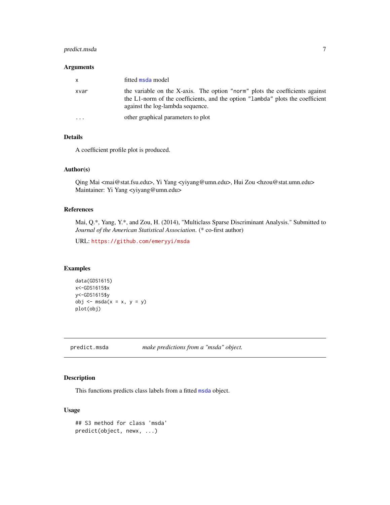#### <span id="page-6-0"></span>predict.msda 7

#### Arguments

| $\mathsf{x}$            | fitted msda model                                                                                                                                                                                  |
|-------------------------|----------------------------------------------------------------------------------------------------------------------------------------------------------------------------------------------------|
| xvar                    | the variable on the X-axis. The option "norm" plots the coefficients against<br>the L1-norm of the coefficients, and the option "lambda" plots the coefficient<br>against the log-lambda sequence. |
| $\cdot$ $\cdot$ $\cdot$ | other graphical parameters to plot                                                                                                                                                                 |

#### Details

A coefficient profile plot is produced.

#### Author(s)

Qing Mai <mai@stat.fsu.edu>, Yi Yang <yiyang@umn.edu>, Hui Zou <hzou@stat.umn.edu> Maintainer: Yi Yang <yiyang@umn.edu>

#### References

Mai, Q.\*, Yang, Y.\*, and Zou, H. (2014), "Multiclass Sparse Discriminant Analysis." Submitted to *Journal of the American Statistical Association*. (\* co-first author)

URL: <https://github.com/emeryyi/msda>

#### Examples

```
data(GDS1615)
x<-GDS1615$x
y<-GDS1615$y
obj \leq - \text{msda}(x = x, y = y)plot(obj)
```
predict.msda *make predictions from a "msda" object.*

#### Description

This functions predicts class labels from a fitted [msda](#page-3-1) object.

#### Usage

```
## S3 method for class 'msda'
predict(object, newx, ...)
```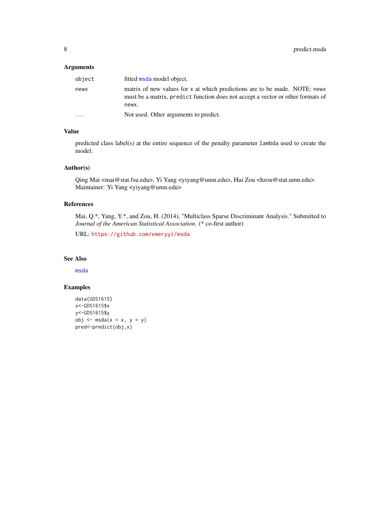#### <span id="page-7-0"></span>Arguments

| object   | fitted msda model object.                                                                                                                                              |
|----------|------------------------------------------------------------------------------------------------------------------------------------------------------------------------|
| newx     | matrix of new values for x at which predictions are to be made. NOTE: news<br>must be a matrix, predict function does not accept a vector or other formats of<br>newx. |
| $\cdots$ | Not used. Other arguments to predict.                                                                                                                                  |

#### Value

predicted class label(s) at the entire sequence of the penalty parameter lambda used to create the model.

#### Author(s)

Qing Mai <mai@stat.fsu.edu>, Yi Yang <yiyang@umn.edu>, Hui Zou <hzou@stat.umn.edu> Maintainer: Yi Yang <yiyang@umn.edu>

#### References

Mai, Q.\*, Yang, Y.\*, and Zou, H. (2014), "Multiclass Sparse Discriminant Analysis." Submitted to *Journal of the American Statistical Association*. (\* co-first author)

URL: <https://github.com/emeryyi/msda>

#### See Also

[msda](#page-3-1)

#### Examples

```
data(GDS1615)
x<-GDS1615$x
y<-GDS1615$y
obj \leq - msda(x = x, y = y)
pred<-predict(obj,x)
```